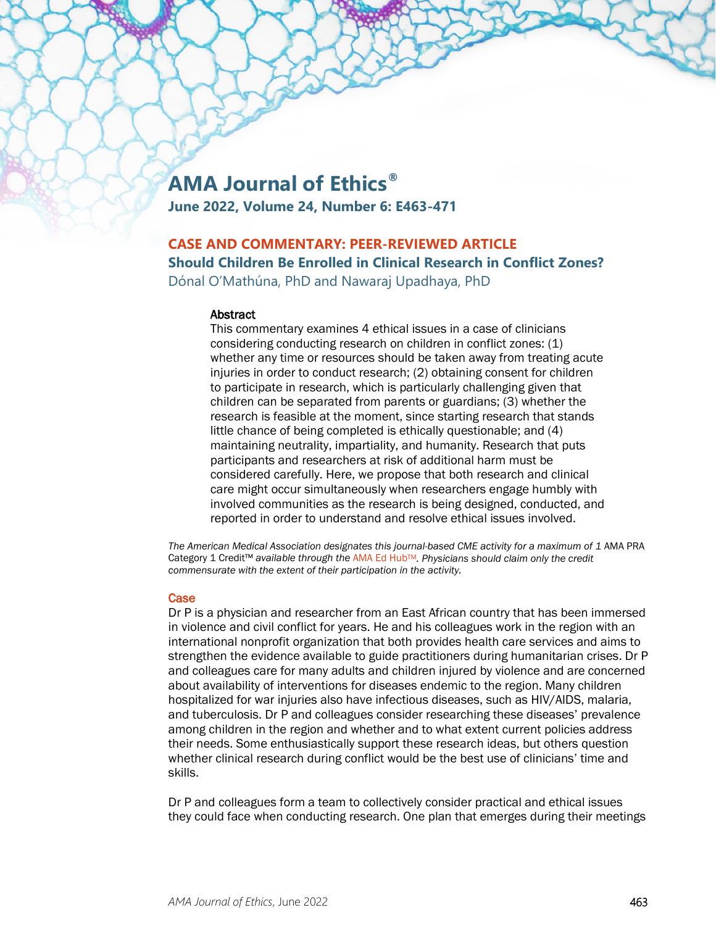# **AMA Journal of Ethics®**

**June 2022, Volume 24, Number 6: E463-471**

# **CASE AND COMMENTARY: PEER-REVIEWED ARTICLE**

**Should Children Be Enrolled in Clinical Research in Conflict Zones?**

Dónal O'Mathúna, PhD and Nawaraj Upadhaya, PhD

### **Abstract**

This commentary examines 4 ethical issues in a case of clinicians considering conducting research on children in conflict zones: (1) whether any time or resources should be taken away from treating acute injuries in order to conduct research; (2) obtaining consent for children to participate in research, which is particularly challenging given that children can be separated from parents or guardians; (3) whether the research is feasible at the moment, since starting research that stands little chance of being completed is ethically questionable; and (4) maintaining neutrality, impartiality, and humanity. Research that puts participants and researchers at risk of additional harm must be considered carefully. Here, we propose that both research and clinical care might occur simultaneously when researchers engage humbly with involved communities as the research is being designed, conducted, and reported in order to understand and resolve ethical issues involved.

The American Medical Association designates this journal-based CME activity for a maximum of 1 AMA PRA Category 1 Credit™ *available through the* [AMA Ed HubTM](https://edhub.ama-assn.org/ama-journal-of-ethics/module/2792394)*. Physicians should claim only the credit commensurate with the extent of their participation in the activity.*

## **Case**

Dr P is a physician and researcher from an East African country that has been immersed in violence and civil conflict for years. He and his colleagues work in the region with an international nonprofit organization that both provides health care services and aims to strengthen the evidence available to guide practitioners during humanitarian crises. Dr P and colleagues care for many adults and children injured by violence and are concerned about availability of interventions for diseases endemic to the region. Many children hospitalized for war injuries also have infectious diseases, such as HIV/AIDS, malaria, and tuberculosis. Dr P and colleagues consider researching these diseases' prevalence among children in the region and whether and to what extent current policies address their needs. Some enthusiastically support these research ideas, but others question whether clinical research during conflict would be the best use of clinicians' time and skills.

Dr P and colleagues form a team to collectively consider practical and ethical issues they could face when conducting research. One plan that emerges during their meetings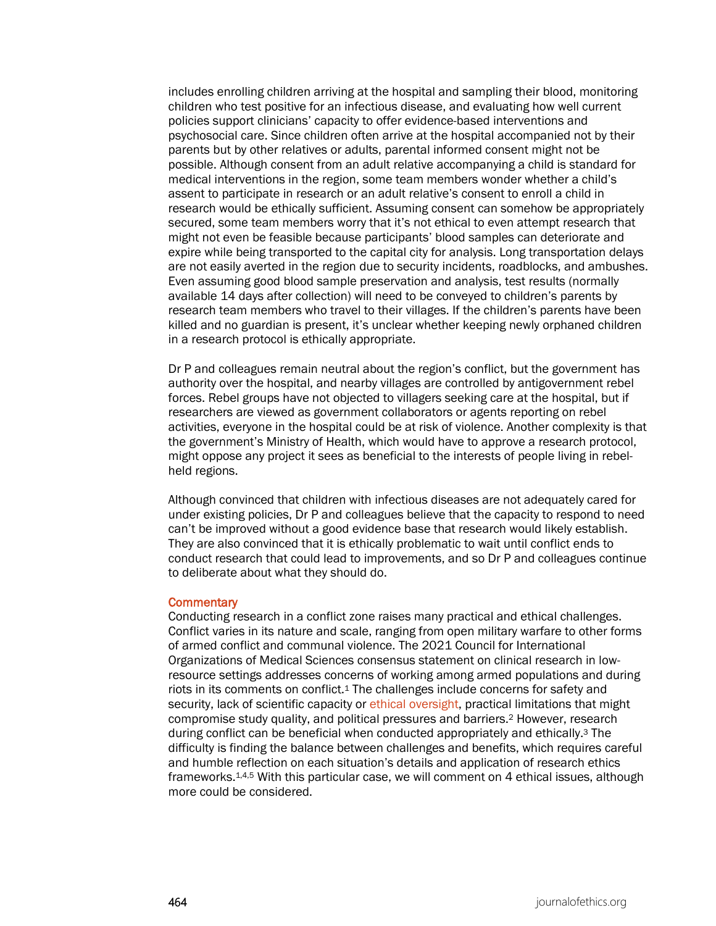includes enrolling children arriving at the hospital and sampling their blood, monitoring children who test positive for an infectious disease, and evaluating how well current policies support clinicians' capacity to offer evidence-based interventions and psychosocial care. Since children often arrive at the hospital accompanied not by their parents but by other relatives or adults, parental informed consent might not be possible. Although consent from an adult relative accompanying a child is standard for medical interventions in the region, some team members wonder whether a child's assent to participate in research or an adult relative's consent to enroll a child in research would be ethically sufficient. Assuming consent can somehow be appropriately secured, some team members worry that it's not ethical to even attempt research that might not even be feasible because participants' blood samples can deteriorate and expire while being transported to the capital city for analysis. Long transportation delays are not easily averted in the region due to security incidents, roadblocks, and ambushes. Even assuming good blood sample preservation and analysis, test results (normally available 14 days after collection) will need to be conveyed to children's parents by research team members who travel to their villages. If the children's parents have been killed and no guardian is present, it's unclear whether keeping newly orphaned children in a research protocol is ethically appropriate.

Dr P and colleagues remain neutral about the region's conflict, but the government has authority over the hospital, and nearby villages are controlled by antigovernment rebel forces. Rebel groups have not objected to villagers seeking care at the hospital, but if researchers are viewed as government collaborators or agents reporting on rebel activities, everyone in the hospital could be at risk of violence. Another complexity is that the government's Ministry of Health, which would have to approve a research protocol, might oppose any project it sees as beneficial to the interests of people living in rebelheld regions.

Although convinced that children with infectious diseases are not adequately cared for under existing policies, Dr P and colleagues believe that the capacity to respond to need can't be improved without a good evidence base that research would likely establish. They are also convinced that it is ethically problematic to wait until conflict ends to conduct research that could lead to improvements, and so Dr P and colleagues continue to deliberate about what they should do.

#### **Commentary**

Conducting research in a conflict zone raises many practical and ethical challenges. Conflict varies in its nature and scale, ranging from open military warfare to other forms of armed conflict and communal violence. The 2021 Council for International Organizations of Medical Sciences consensus statement on clinical research in lowresource settings addresses concerns of working among armed populations and during riots in its comments on conflict.1 The challenges include concerns for safety and security, lack of scientific capacity or [ethical oversight,](https://journalofethics.ama-assn.org/article/need-professional-standards-global-health/2015-05) practical limitations that might compromise study quality, and political pressures and barriers.2 However, research during conflict can be beneficial when conducted appropriately and ethically.3 The difficulty is finding the balance between challenges and benefits, which requires careful and humble reflection on each situation's details and application of research ethics frameworks.1,4,5 With this particular case, we will comment on 4 ethical issues, although more could be considered.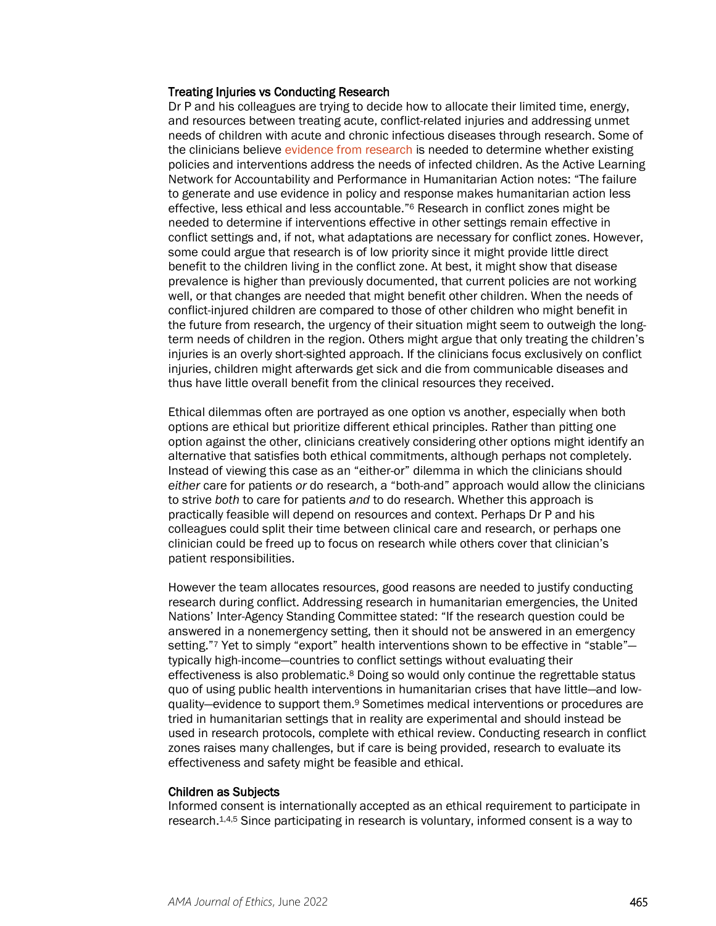#### Treating Injuries vs Conducting Research

Dr P and his colleagues are trying to decide how to allocate their limited time, energy, and resources between treating acute, conflict-related injuries and addressing unmet needs of children with acute and chronic infectious diseases through research. Some of the clinicians believe [evidence from research](https://journalofethics.ama-assn.org/article/how-should-who-guide-access-and-benefit-sharing-during-infectious-disease-outbreaks/2020-01) is needed to determine whether existing policies and interventions address the needs of infected children. As the Active Learning Network for Accountability and Performance in Humanitarian Action notes: "The failure to generate and use evidence in policy and response makes humanitarian action less effective, less ethical and less accountable."6 Research in conflict zones might be needed to determine if interventions effective in other settings remain effective in conflict settings and, if not, what adaptations are necessary for conflict zones. However, some could argue that research is of low priority since it might provide little direct benefit to the children living in the conflict zone. At best, it might show that disease prevalence is higher than previously documented, that current policies are not working well, or that changes are needed that might benefit other children. When the needs of conflict-injured children are compared to those of other children who might benefit in the future from research, the urgency of their situation might seem to outweigh the longterm needs of children in the region. Others might argue that only treating the children's injuries is an overly short-sighted approach. If the clinicians focus exclusively on conflict injuries, children might afterwards get sick and die from communicable diseases and thus have little overall benefit from the clinical resources they received.

Ethical dilemmas often are portrayed as one option vs another, especially when both options are ethical but prioritize different ethical principles. Rather than pitting one option against the other, clinicians creatively considering other options might identify an alternative that satisfies both ethical commitments, although perhaps not completely. Instead of viewing this case as an "either-or" dilemma in which the clinicians should *either* care for patients *or* do research, a "both-and" approach would allow the clinicians to strive *both* to care for patients *and* to do research. Whether this approach is practically feasible will depend on resources and context. Perhaps Dr P and his colleagues could split their time between clinical care and research, or perhaps one clinician could be freed up to focus on research while others cover that clinician's patient responsibilities.

However the team allocates resources, good reasons are needed to justify conducting research during conflict. Addressing research in humanitarian emergencies, the United Nations' Inter-Agency Standing Committee stated: "If the research question could be answered in a nonemergency setting, then it should not be answered in an emergency setting."7 Yet to simply "export" health interventions shown to be effective in "stable"typically high-income—countries to conflict settings without evaluating their effectiveness is also problematic.<sup>8</sup> Doing so would only continue the regrettable status quo of using public health interventions in humanitarian crises that have little—and lowquality—evidence to support them.9 Sometimes medical interventions or procedures are tried in humanitarian settings that in reality are experimental and should instead be used in research protocols, complete with ethical review. Conducting research in conflict zones raises many challenges, but if care is being provided, research to evaluate its effectiveness and safety might be feasible and ethical.

#### Children as Subjects

Informed consent is internationally accepted as an ethical requirement to participate in research.1,4,5 Since participating in research is voluntary, informed consent is a way to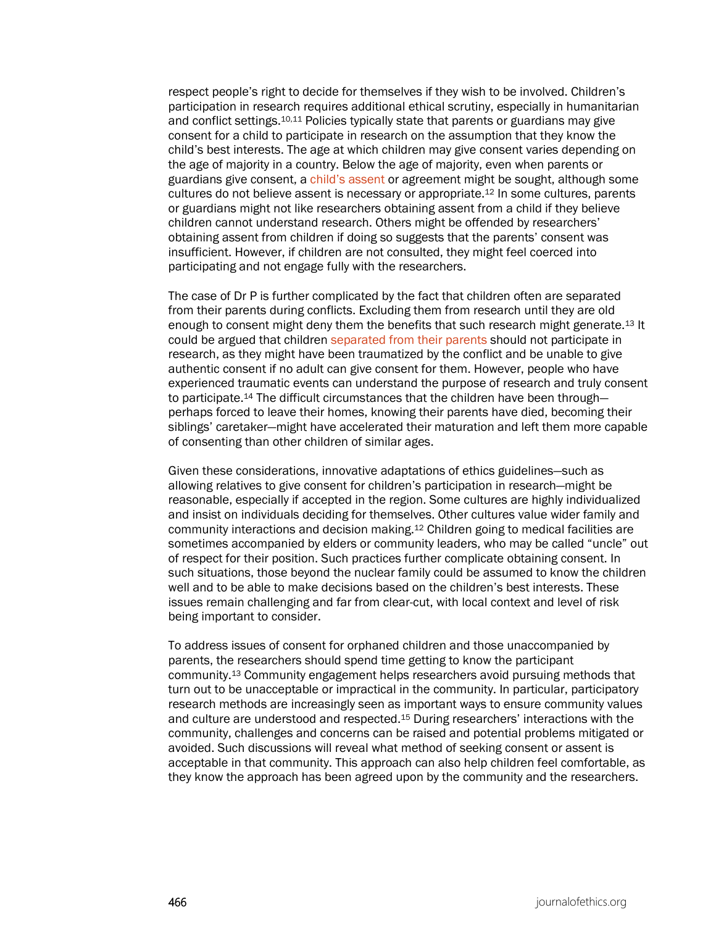respect people's right to decide for themselves if they wish to be involved. Children's participation in research requires additional ethical scrutiny, especially in humanitarian and conflict settings.10,11 Policies typically state that parents or guardians may give consent for a child to participate in research on the assumption that they know the child's best interests. The age at which children may give consent varies depending on the age of majority in a country. Below the age of majority, even when parents or guardians give consent, a [child's assent](https://journalofethics.ama-assn.org/article/pediatric-assent-clinical-research-patient-centered-perspective-using-motivational-interviewing/2013-08) or agreement might be sought, although some cultures do not believe assent is necessary or appropriate.12 In some cultures, parents or guardians might not like researchers obtaining assent from a child if they believe children cannot understand research. Others might be offended by researchers' obtaining assent from children if doing so suggests that the parents' consent was insufficient. However, if children are not consulted, they might feel coerced into participating and not engage fully with the researchers.

The case of Dr P is further complicated by the fact that children often are separated from their parents during conflicts. Excluding them from research until they are old enough to consent might deny them the benefits that such research might generate.13 It could be argued that children [separated from their parents](https://journalofethics.ama-assn.org/article/how-should-unaccompanied-minors-immigration-detention-be-protected-coercive-medical-practices/2019-07) should not participate in research, as they might have been traumatized by the conflict and be unable to give authentic consent if no adult can give consent for them. However, people who have experienced traumatic events can understand the purpose of research and truly consent to participate.<sup>14</sup> The difficult circumstances that the children have been throughperhaps forced to leave their homes, knowing their parents have died, becoming their siblings' caretaker—might have accelerated their maturation and left them more capable of consenting than other children of similar ages.

Given these considerations, innovative adaptations of ethics guidelines—such as allowing relatives to give consent for children's participation in research—might be reasonable, especially if accepted in the region. Some cultures are highly individualized and insist on individuals deciding for themselves. Other cultures value wider family and community interactions and decision making.12 Children going to medical facilities are sometimes accompanied by elders or community leaders, who may be called "uncle" out of respect for their position. Such practices further complicate obtaining consent. In such situations, those beyond the nuclear family could be assumed to know the children well and to be able to make decisions based on the children's best interests. These issues remain challenging and far from clear-cut, with local context and level of risk being important to consider.

To address issues of consent for orphaned children and those unaccompanied by parents, the researchers should spend time getting to know the participant community.13 Community engagement helps researchers avoid pursuing methods that turn out to be unacceptable or impractical in the community. In particular, participatory research methods are increasingly seen as important ways to ensure community values and culture are understood and respected.15 During researchers' interactions with the community, challenges and concerns can be raised and potential problems mitigated or avoided. Such discussions will reveal what method of seeking consent or assent is acceptable in that community. This approach can also help children feel comfortable, as they know the approach has been agreed upon by the community and the researchers.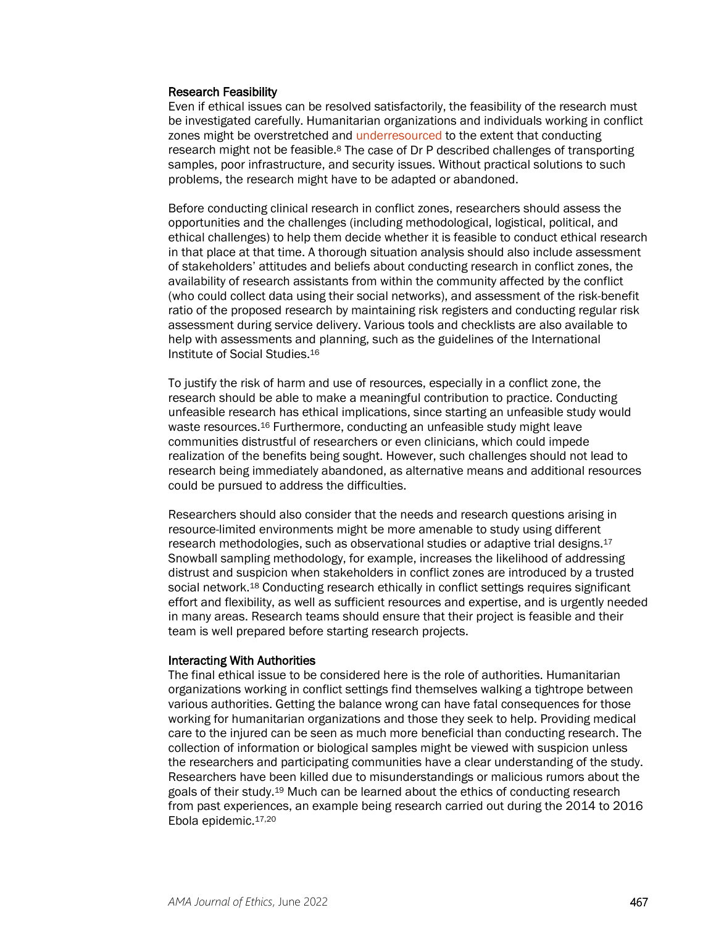#### Research Feasibility

Even if ethical issues can be resolved satisfactorily, the feasibility of the research must be investigated carefully. Humanitarian organizations and individuals working in conflict zones might be overstretched and [underresourced](https://journalofethics.ama-assn.org/article/how-should-biobanking-be-governed-low-resource-settings/2020-02) to the extent that conducting research might not be feasible.<sup>8</sup> The case of Dr P described challenges of transporting samples, poor infrastructure, and security issues. Without practical solutions to such problems, the research might have to be adapted or abandoned.

Before conducting clinical research in conflict zones, researchers should assess the opportunities and the challenges (including methodological, logistical, political, and ethical challenges) to help them decide whether it is feasible to conduct ethical research in that place at that time. A thorough situation analysis should also include assessment of stakeholders' attitudes and beliefs about conducting research in conflict zones, the availability of research assistants from within the community affected by the conflict (who could collect data using their social networks), and assessment of the risk-benefit ratio of the proposed research by maintaining risk registers and conducting regular risk assessment during service delivery. Various tools and checklists are also available to help with assessments and planning, such as the guidelines of the International Institute of Social Studies.16

To justify the risk of harm and use of resources, especially in a conflict zone, the research should be able to make a meaningful contribution to practice. Conducting unfeasible research has ethical implications, since starting an unfeasible study would waste resources.16 Furthermore, conducting an unfeasible study might leave communities distrustful of researchers or even clinicians, which could impede realization of the benefits being sought. However, such challenges should not lead to research being immediately abandoned, as alternative means and additional resources could be pursued to address the difficulties.

Researchers should also consider that the needs and research questions arising in resource-limited environments might be more amenable to study using different research methodologies, such as observational studies or adaptive trial designs.17 Snowball sampling methodology, for example, increases the likelihood of addressing distrust and suspicion when stakeholders in conflict zones are introduced by a trusted social network.<sup>18</sup> Conducting research ethically in conflict settings requires significant effort and flexibility, as well as sufficient resources and expertise, and is urgently needed in many areas. Research teams should ensure that their project is feasible and their team is well prepared before starting research projects.

#### Interacting With Authorities

The final ethical issue to be considered here is the role of authorities. Humanitarian organizations working in conflict settings find themselves walking a tightrope between various authorities. Getting the balance wrong can have fatal consequences for those working for humanitarian organizations and those they seek to help. Providing medical care to the injured can be seen as much more beneficial than conducting research. The collection of information or biological samples might be viewed with suspicion unless the researchers and participating communities have a clear understanding of the study. Researchers have been killed due to misunderstandings or malicious rumors about the goals of their study.19 Much can be learned about the ethics of conducting research from past experiences, an example being research carried out during the 2014 to 2016 Ebola epidemic.17,20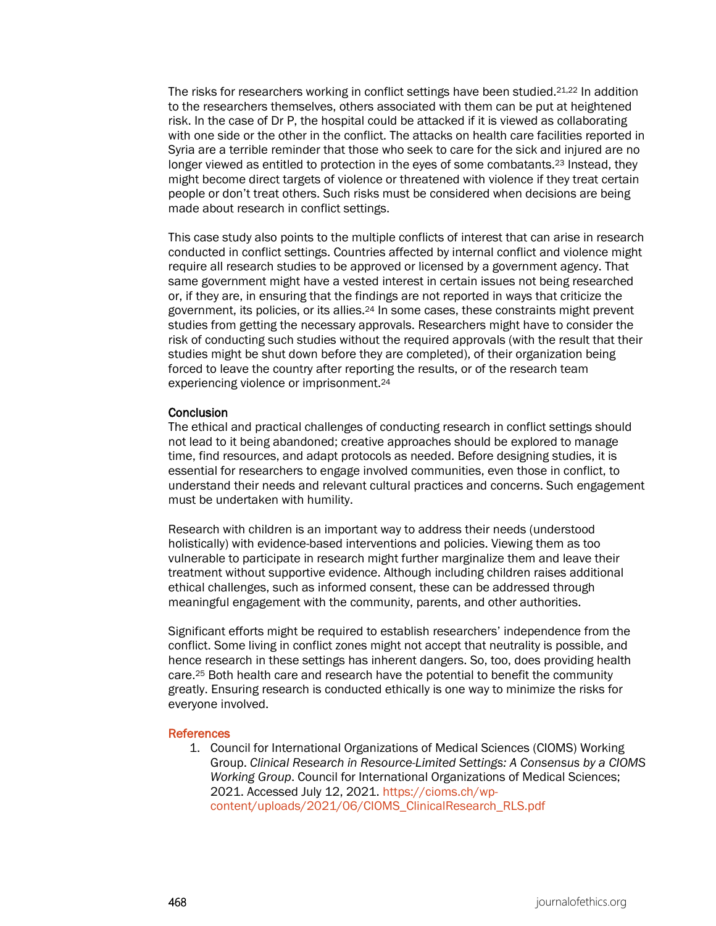The risks for researchers working in conflict settings have been studied.21,22 In addition to the researchers themselves, others associated with them can be put at heightened risk. In the case of Dr P, the hospital could be attacked if it is viewed as collaborating with one side or the other in the conflict. The attacks on health care facilities reported in Syria are a terrible reminder that those who seek to care for the sick and injured are no longer viewed as entitled to protection in the eyes of some combatants.<sup>23</sup> Instead, they might become direct targets of violence or threatened with violence if they treat certain people or don't treat others. Such risks must be considered when decisions are being made about research in conflict settings.

This case study also points to the multiple conflicts of interest that can arise in research conducted in conflict settings. Countries affected by internal conflict and violence might require all research studies to be approved or licensed by a government agency. That same government might have a vested interest in certain issues not being researched or, if they are, in ensuring that the findings are not reported in ways that criticize the government, its policies, or its allies.24 In some cases, these constraints might prevent studies from getting the necessary approvals. Researchers might have to consider the risk of conducting such studies without the required approvals (with the result that their studies might be shut down before they are completed), of their organization being forced to leave the country after reporting the results, or of the research team experiencing violence or imprisonment.<sup>24</sup>

#### **Conclusion**

The ethical and practical challenges of conducting research in conflict settings should not lead to it being abandoned; creative approaches should be explored to manage time, find resources, and adapt protocols as needed. Before designing studies, it is essential for researchers to engage involved communities, even those in conflict, to understand their needs and relevant cultural practices and concerns. Such engagement must be undertaken with humility.

Research with children is an important way to address their needs (understood holistically) with evidence-based interventions and policies. Viewing them as too vulnerable to participate in research might further marginalize them and leave their treatment without supportive evidence. Although including children raises additional ethical challenges, such as informed consent, these can be addressed through meaningful engagement with the community, parents, and other authorities.

Significant efforts might be required to establish researchers' independence from the conflict. Some living in conflict zones might not accept that neutrality is possible, and hence research in these settings has inherent dangers. So, too, does providing health care.25 Both health care and research have the potential to benefit the community greatly. Ensuring research is conducted ethically is one way to minimize the risks for everyone involved.

#### References

1. Council for International Organizations of Medical Sciences (CIOMS) Working Group. *Clinical Research in Resource-Limited Settings: A Consensus by a CIOMS Working Group*. Council for International Organizations of Medical Sciences; 2021. Accessed July 12, 2021. [https://cioms.ch/wp](https://cioms.ch/wp-content/uploads/2021/06/CIOMS_ClinicalResearch_RLS.pdf)[content/uploads/2021/06/CIOMS\\_ClinicalResearch\\_RLS.pdf](https://cioms.ch/wp-content/uploads/2021/06/CIOMS_ClinicalResearch_RLS.pdf)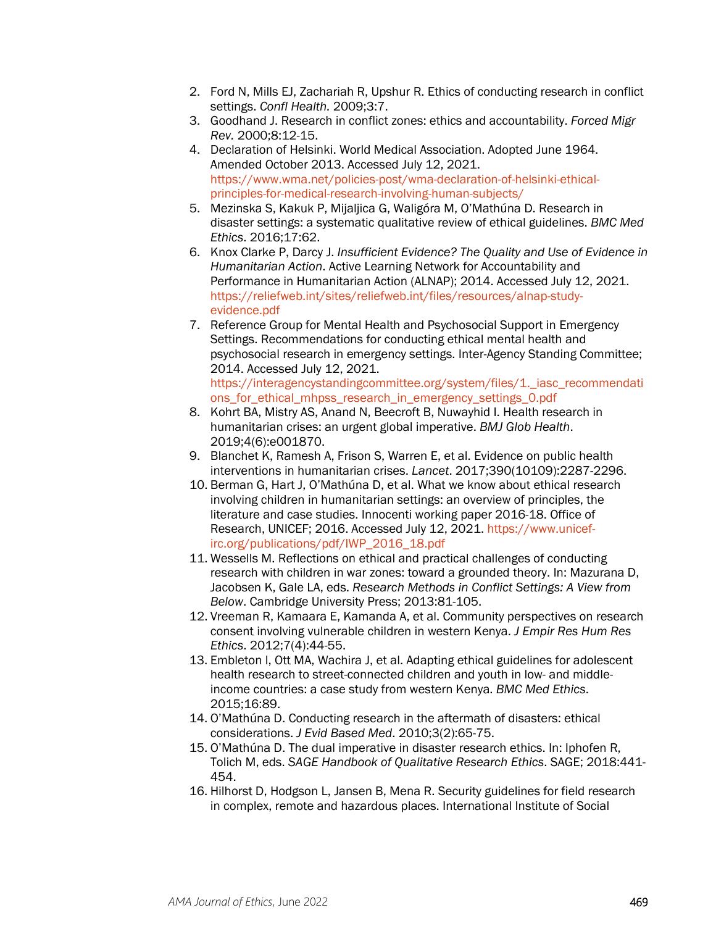- 2. Ford N, Mills EJ, Zachariah R, Upshur R. Ethics of conducting research in conflict settings. *Confl Health.* 2009;3:7.
- 3. Goodhand J. Research in conflict zones: ethics and accountability. *Forced Migr Rev.* 2000;8:12-15.
- 4. Declaration of Helsinki. World Medical Association. Adopted June 1964. Amended October 2013. Accessed July 12, 2021. [https://www.wma.net/policies-post/wma-declaration-of-helsinki-ethical](https://www.wma.net/policies-post/wma-declaration-of-helsinki-ethical-principles-for-medical-research-involving-human-subjects/)[principles-for-medical-research-involving-human-subjects/](https://www.wma.net/policies-post/wma-declaration-of-helsinki-ethical-principles-for-medical-research-involving-human-subjects/)
- 5. Mezinska S, Kakuk P, Mijaljica G, Waligóra M, O'Mathúna D. Research in disaster settings: a systematic qualitative review of ethical guidelines. *BMC Med Ethics*. 2016;17:62.
- 6. Knox Clarke P, Darcy J. *Insufficient Evidence? The Quality and Use of Evidence in Humanitarian Action*. Active Learning Network for Accountability and Performance in Humanitarian Action (ALNAP); 2014. Accessed July 12, 2021. [https://reliefweb.int/sites/reliefweb.int/files/resources/alnap-study](https://reliefweb.int/sites/reliefweb.int/files/resources/alnap-study-evidence.pdf)[evidence.pdf](https://reliefweb.int/sites/reliefweb.int/files/resources/alnap-study-evidence.pdf)
- 7. Reference Group for Mental Health and Psychosocial Support in Emergency Settings. Recommendations for conducting ethical mental health and psychosocial research in emergency settings. Inter-Agency Standing Committee; 2014. Accessed July 12, 2021. https://interagencystandingcommittee.org/system/files/1. iasc\_recommendati [ons\\_for\\_ethical\\_mhpss\\_research\\_in\\_emergency\\_settings\\_0.pdf](https://interagencystandingcommittee.org/system/files/1._iasc_recommendations_for_ethical_mhpss_research_in_emergency_settings_0.pdf)
- 8. Kohrt BA, Mistry AS, Anand N, Beecroft B, Nuwayhid I. Health research in humanitarian crises: an urgent global imperative. *BMJ Glob Health*. 2019;4(6):e001870.
- 9. Blanchet K, Ramesh A, Frison S, Warren E, et al. Evidence on public health interventions in humanitarian crises. *Lancet*. 2017;390(10109):2287-2296.
- 10. Berman G, Hart J, O'Mathúna D, et al. What we know about ethical research involving children in humanitarian settings: an overview of principles, the literature and case studies. Innocenti working paper 2016-18. Office of Research, UNICEF; 2016. Accessed July 12, 2021. [https://www.unicef](https://www.unicef-irc.org/publications/pdf/IWP_2016_18.pdf)[irc.org/publications/pdf/IWP\\_2016\\_18.pdf](https://www.unicef-irc.org/publications/pdf/IWP_2016_18.pdf)
- 11. Wessells M. Reflections on ethical and practical challenges of conducting research with children in war zones: toward a grounded theory. In: Mazurana D, Jacobsen K, Gale LA, eds. *Research Methods in Conflict Settings: A View from Below*. Cambridge University Press; 2013:81-105.
- 12. Vreeman R, Kamaara E, Kamanda A, et al. Community perspectives on research consent involving vulnerable children in western Kenya. *J Empir Res Hum Res Ethics*. 2012;7(4):44-55.
- 13. Embleton l, Ott MA, Wachira J, et al. Adapting ethical guidelines for adolescent health research to street-connected children and youth in low- and middleincome countries: a case study from western Kenya. *BMC Med Ethics*. 2015;16:89.
- 14. O'Mathúna D. Conducting research in the aftermath of disasters: ethical considerations. *J Evid Based Med*. 2010;3(2):65-75.
- 15. O'Mathúna D. The dual imperative in disaster research ethics. In: Iphofen R, Tolich M, eds. *SAGE Handbook of Qualitative Research Ethics*. SAGE; 2018:441- 454.
- 16. Hilhorst D, Hodgson L, Jansen B, Mena R. Security guidelines for field research in complex, remote and hazardous places. International Institute of Social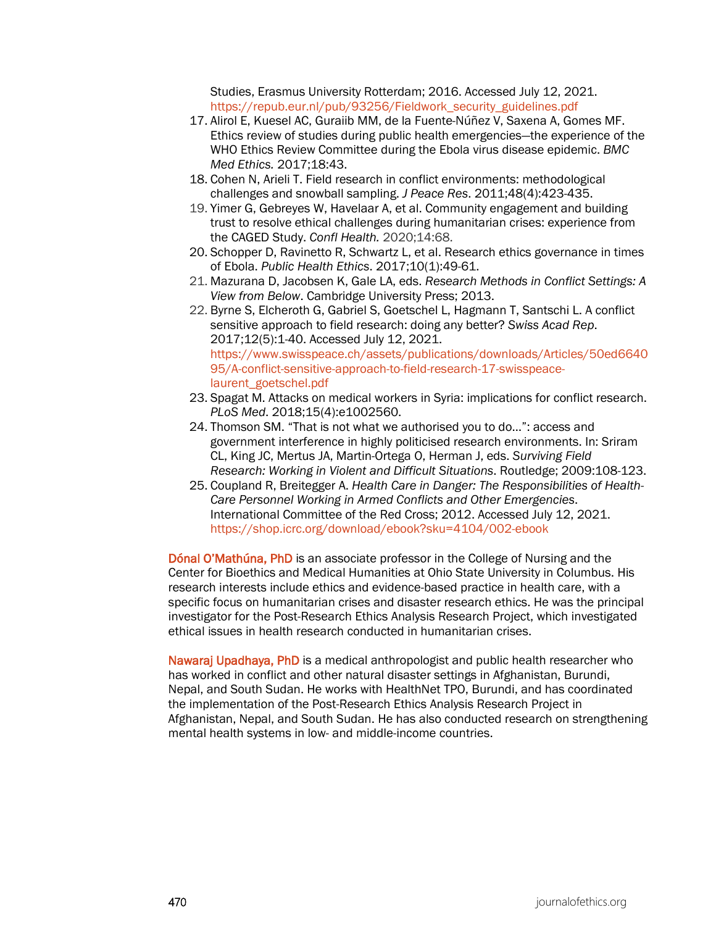Studies, Erasmus University Rotterdam; 2016. Accessed July 12, 2021. [https://repub.eur.nl/pub/93256/Fieldwork\\_security\\_guidelines.pdf](https://repub.eur.nl/pub/93256/Fieldwork_security_guidelines.pdf)

- 17. Alirol E, Kuesel AC, Guraiib MM, de la Fuente-Núñez V, Saxena A, Gomes MF. Ethics review of studies during public health emergencies—the experience of the WHO Ethics Review Committee during the Ebola virus disease epidemic. *BMC Med Ethics.* 2017;18:43.
- 18. Cohen N, Arieli T. Field research in conflict environments: methodological challenges and snowball sampling. *J Peace Res*. 2011;48(4):423-435.
- 19. Yimer G, Gebreyes W, Havelaar A, et al. Community engagement and building trust to resolve ethical challenges during humanitarian crises: experience from the CAGED Study. *Confl Health.* 2020;14:68.
- 20. Schopper D, Ravinetto R, Schwartz L, et al. Research ethics governance in times of Ebola. *Public Health Ethics*. 2017;10(1):49-61.
- 21. Mazurana D, Jacobsen K, Gale LA, eds. *Research Methods in Conflict Settings: A View from Below*. Cambridge University Press; 2013.
- 22. Byrne S, Elcheroth G, Gabriel S, Goetschel L, Hagmann T, Santschi L. A conflict sensitive approach to field research: doing any better? *Swiss Acad Rep*. 2017;12(5):1-40. Accessed July 12, 2021. [https://www.swisspeace.ch/assets/publications/downloads/Articles/50ed6640](https://www.swisspeace.ch/assets/publications/downloads/Articles/50ed664095/A-conflict-sensitive-approach-to-field-research-17-swisspeace-laurent_goetschel.pdf) [95/A-conflict-sensitive-approach-to-field-research-17-swisspeace](https://www.swisspeace.ch/assets/publications/downloads/Articles/50ed664095/A-conflict-sensitive-approach-to-field-research-17-swisspeace-laurent_goetschel.pdf)[laurent\\_goetschel.pdf](https://www.swisspeace.ch/assets/publications/downloads/Articles/50ed664095/A-conflict-sensitive-approach-to-field-research-17-swisspeace-laurent_goetschel.pdf)
- 23. Spagat M. Attacks on medical workers in Syria: implications for conflict research. *PLoS Med*. 2018;15(4):e1002560.
- 24. Thomson SM. "That is not what we authorised you to do…": access and government interference in highly politicised research environments. In: Sriram CL, King JC, Mertus JA, Martin-Ortega O, Herman J, eds. *Surviving Field Research: Working in Violent and Difficult Situations*. Routledge; 2009:108-123.
- 25. Coupland R, Breitegger A. *Health Care in Danger: The Responsibilities of Health-Care Personnel Working in Armed Conflicts and Other Emergencies*. International Committee of the Red Cross; 2012. Accessed July 12, 2021. <https://shop.icrc.org/download/ebook?sku=4104/002-ebook>

Dónal O'Mathúna, PhD is an associate professor in the College of Nursing and the Center for Bioethics and Medical Humanities at Ohio State University in Columbus. His research interests include ethics and evidence-based practice in health care, with a specific focus on humanitarian crises and disaster research ethics. He was the principal investigator for the Post-Research Ethics Analysis Research Project, which investigated ethical issues in health research conducted in humanitarian crises.

Nawaraj Upadhaya, PhD is a medical anthropologist and public health researcher who has worked in conflict and other natural disaster settings in Afghanistan, Burundi, Nepal, and South Sudan. He works with HealthNet TPO, Burundi, and has coordinated the implementation of the Post-Research Ethics Analysis Research Project in Afghanistan, Nepal, and South Sudan. He has also conducted research on strengthening mental health systems in low- and middle-income countries.